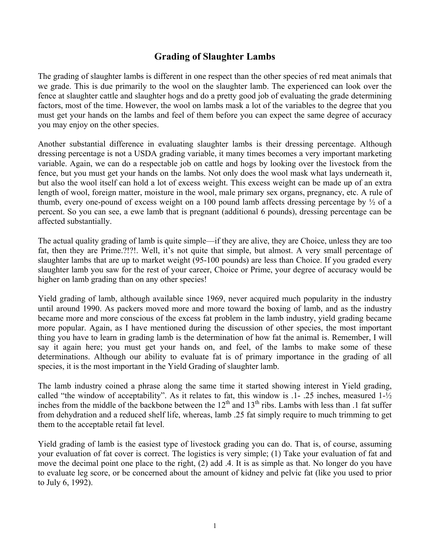# **Grading of Slaughter Lambs**

The grading of slaughter lambs is different in one respect than the other species of red meat animals that we grade. This is due primarily to the wool on the slaughter lamb. The experienced can look over the fence at slaughter cattle and slaughter hogs and do a pretty good job of evaluating the grade determining factors, most of the time. However, the wool on lambs mask a lot of the variables to the degree that you must get your hands on the lambs and feel of them before you can expect the same degree of accuracy you may enjoy on the other species.

Another substantial difference in evaluating slaughter lambs is their dressing percentage. Although dressing percentage is not a USDA grading variable, it many times becomes a very important marketing variable. Again, we can do a respectable job on cattle and hogs by looking over the livestock from the fence, but you must get your hands on the lambs. Not only does the wool mask what lays underneath it, but also the wool itself can hold a lot of excess weight. This excess weight can be made up of an extra length of wool, foreign matter, moisture in the wool, male primary sex organs, pregnancy, etc. A rule of thumb, every one-pound of excess weight on a 100 pound lamb affects dressing percentage by ½ of a percent. So you can see, a ewe lamb that is pregnant (additional 6 pounds), dressing percentage can be affected substantially.

The actual quality grading of lamb is quite simple—if they are alive, they are Choice, unless they are too fat, then they are Prime.?!?!. Well, it's not quite that simple, but almost. A very small percentage of slaughter lambs that are up to market weight (95-100 pounds) are less than Choice. If you graded every slaughter lamb you saw for the rest of your career, Choice or Prime, your degree of accuracy would be higher on lamb grading than on any other species!

Yield grading of lamb, although available since 1969, never acquired much popularity in the industry until around 1990. As packers moved more and more toward the boxing of lamb, and as the industry became more and more conscious of the excess fat problem in the lamb industry, yield grading became more popular. Again, as I have mentioned during the discussion of other species, the most important thing you have to learn in grading lamb is the determination of how fat the animal is. Remember, I will say it again here; you must get your hands on, and feel, of the lambs to make some of these determinations. Although our ability to evaluate fat is of primary importance in the grading of all species, it is the most important in the Yield Grading of slaughter lamb.

The lamb industry coined a phrase along the same time it started showing interest in Yield grading, called "the window of acceptability". As it relates to fat, this window is .1- .25 inches, measured 1-½ inches from the middle of the backbone between the  $12<sup>th</sup>$  and  $13<sup>th</sup>$  ribs. Lambs with less than .1 fat suffer from dehydration and a reduced shelf life, whereas, lamb .25 fat simply require to much trimming to get them to the acceptable retail fat level.

Yield grading of lamb is the easiest type of livestock grading you can do. That is, of course, assuming your evaluation of fat cover is correct. The logistics is very simple; (1) Take your evaluation of fat and move the decimal point one place to the right, (2) add .4. It is as simple as that. No longer do you have to evaluate leg score, or be concerned about the amount of kidney and pelvic fat (like you used to prior to July 6, 1992).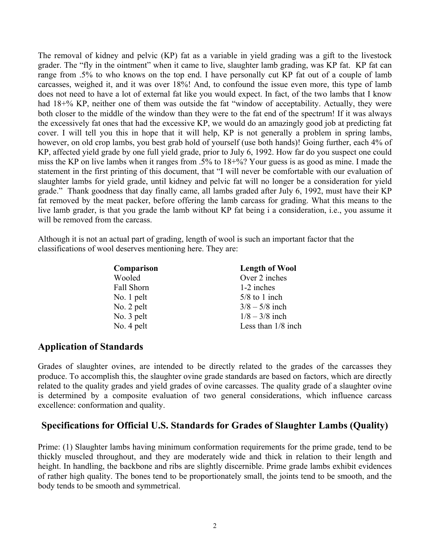The removal of kidney and pelvic (KP) fat as a variable in yield grading was a gift to the livestock grader. The "fly in the ointment" when it came to live, slaughter lamb grading, was KP fat. KP fat can range from .5% to who knows on the top end. I have personally cut KP fat out of a couple of lamb carcasses, weighed it, and it was over 18%! And, to confound the issue even more, this type of lamb does not need to have a lot of external fat like you would expect. In fact, of the two lambs that I know had 18+% KP, neither one of them was outside the fat "window of acceptability. Actually, they were both closer to the middle of the window than they were to the fat end of the spectrum! If it was always the excessively fat ones that had the excessive KP, we would do an amazingly good job at predicting fat cover. I will tell you this in hope that it will help, KP is not generally a problem in spring lambs, however, on old crop lambs, you best grab hold of yourself (use both hands)! Going further, each 4% of KP, affected yield grade by one full yield grade, prior to July 6, 1992. How far do you suspect one could miss the KP on live lambs when it ranges from .5% to 18+%? Your guess is as good as mine. I made the statement in the first printing of this document, that "I will never be comfortable with our evaluation of slaughter lambs for yield grade, until kidney and pelvic fat will no longer be a consideration for yield grade." Thank goodness that day finally came, all lambs graded after July 6, 1992, must have their KP fat removed by the meat packer, before offering the lamb carcass for grading. What this means to the live lamb grader, is that you grade the lamb without KP fat being i a consideration, i.e., you assume it will be removed from the carcass.

Although it is not an actual part of grading, length of wool is such an important factor that the classifications of wool deserves mentioning here. They are:

| Comparison   | <b>Length of Wool</b> |
|--------------|-----------------------|
| Wooled       | Over 2 inches         |
| Fall Shorn   | 1-2 inches            |
| No. 1 pelt   | $5/8$ to 1 inch       |
| No. $2$ pelt | $3/8 - 5/8$ inch      |
| No. 3 pelt   | $1/8 - 3/8$ inch      |
| No. 4 pelt   | Less than $1/8$ inch  |

### **Application of Standards**

Grades of slaughter ovines, are intended to be directly related to the grades of the carcasses they produce. To accomplish this, the slaughter ovine grade standards are based on factors, which are directly related to the quality grades and yield grades of ovine carcasses. The quality grade of a slaughter ovine is determined by a composite evaluation of two general considerations, which influence carcass excellence: conformation and quality.

### **Specifications for Official U.S. Standards for Grades of Slaughter Lambs (Quality)**

Prime: (1) Slaughter lambs having minimum conformation requirements for the prime grade, tend to be thickly muscled throughout, and they are moderately wide and thick in relation to their length and height. In handling, the backbone and ribs are slightly discernible. Prime grade lambs exhibit evidences of rather high quality. The bones tend to be proportionately small, the joints tend to be smooth, and the body tends to be smooth and symmetrical.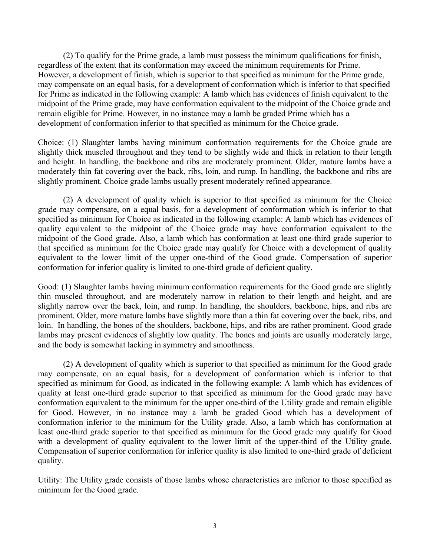(2) To qualify for the Prime grade, a lamb must possess the minimum qualifications for finish, regardless of the extent that its conformation may exceed the minimum requirements for Prime. However, a development of finish, which is superior to that specified as minimum for the Prime grade, may compensate on an equal basis, for a development of conformation which is inferior to that specified for Prime as indicated in the following example: A lamb which has evidences of finish equivalent to the midpoint of the Prime grade, may have conformation equivalent to the midpoint of the Choice grade and remain eligible for Prime. However, in no instance may a lamb be graded Prime which has a development of conformation inferior to that specified as minimum for the Choice grade.

Choice: (1) Slaughter lambs having minimum conformation requirements for the Choice grade are slightly thick muscled throughout and they tend to be slightly wide and thick in relation to their length and height. In handling, the backbone and ribs are moderately prominent. Older, mature lambs have a moderately thin fat covering over the back, ribs, loin, and rump. In handling, the backbone and ribs are slightly prominent. Choice grade lambs usually present moderately refined appearance.

(2) A development of quality which is superior to that specified as minimum for the Choice grade may compensate, on a equal basis, for a development of conformation which is inferior to that specified as minimum for Choice as indicated in the following example: A lamb which has evidences of quality equivalent to the midpoint of the Choice grade may have conformation equivalent to the midpoint of the Good grade. Also, a lamb which has conformation at least one-third grade superior to that specified as minimum for the Choice grade may qualify for Choice with a development of quality equivalent to the lower limit of the upper one-third of the Good grade. Compensation of superior conformation for inferior quality is limited to one-third grade of deficient quality.

Good: (1) Slaughter lambs having minimum conformation requirements for the Good grade are slightly thin muscled throughout, and are moderately narrow in relation to their length and height, and are slightly narrow over the back, loin, and rump. In handling, the shoulders, backbone, hips, and ribs are prominent. Older, more mature lambs have slightly more than a thin fat covering over the back, ribs, and loin. In handling, the bones of the shoulders, backbone, hips, and ribs are rather prominent. Good grade lambs may present evidences of slightly low quality. The bones and joints are usually moderately large, and the body is somewhat lacking in symmetry and smoothness.

(2) A development of quality which is superior to that specified as minimum for the Good grade may compensate, on an equal basis, for a development of conformation which is inferior to that specified as minimum for Good, as indicated in the following example: A lamb which has evidences of quality at least one-third grade superior to that specified as minimum for the Good grade may have conformation equivalent to the minimum for the upper one-third of the Utility grade and remain eligible for Good. However, in no instance may a lamb be graded Good which has a development of conformation inferior to the minimum for the Utility grade. Also, a lamb which has conformation at least one-third grade superior to that specified as minimum for the Good grade may qualify for Good with a development of quality equivalent to the lower limit of the upper-third of the Utility grade. Compensation of superior conformation for inferior quality is also limited to one-third grade of deficient quality.

Utility: The Utility grade consists of those lambs whose characteristics are inferior to those specified as minimum for the Good grade.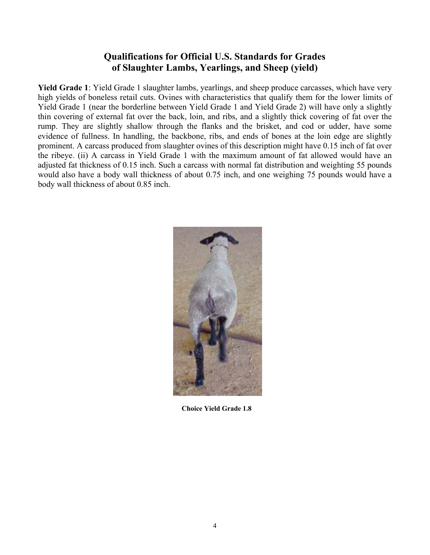## **Qualifications for Official U.S. Standards for Grades of Slaughter Lambs, Yearlings, and Sheep (yield)**

**Yield Grade 1**: Yield Grade 1 slaughter lambs, yearlings, and sheep produce carcasses, which have very high yields of boneless retail cuts. Ovines with characteristics that qualify them for the lower limits of Yield Grade 1 (near the borderline between Yield Grade 1 and Yield Grade 2) will have only a slightly thin covering of external fat over the back, loin, and ribs, and a slightly thick covering of fat over the rump. They are slightly shallow through the flanks and the brisket, and cod or udder, have some evidence of fullness. In handling, the backbone, ribs, and ends of bones at the loin edge are slightly prominent. A carcass produced from slaughter ovines of this description might have 0.15 inch of fat over the ribeye. (ii) A carcass in Yield Grade 1 with the maximum amount of fat allowed would have an adjusted fat thickness of 0.15 inch. Such a carcass with normal fat distribution and weighting 55 pounds would also have a body wall thickness of about 0.75 inch, and one weighing 75 pounds would have a body wall thickness of about 0.85 inch.



**Choice Yield Grade 1.8**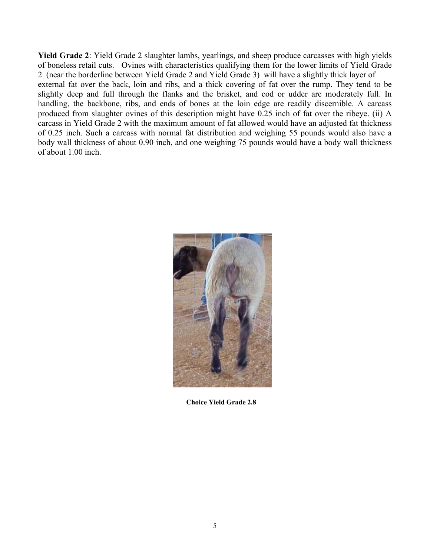**Yield Grade 2**: Yield Grade 2 slaughter lambs, yearlings, and sheep produce carcasses with high yields of boneless retail cuts. Ovines with characteristics qualifying them for the lower limits of Yield Grade 2 (near the borderline between Yield Grade 2 and Yield Grade 3) will have a slightly thick layer of external fat over the back, loin and ribs, and a thick covering of fat over the rump. They tend to be slightly deep and full through the flanks and the brisket, and cod or udder are moderately full. In handling, the backbone, ribs, and ends of bones at the loin edge are readily discernible. A carcass produced from slaughter ovines of this description might have 0.25 inch of fat over the ribeye. (ii) A carcass in Yield Grade 2 with the maximum amount of fat allowed would have an adjusted fat thickness of 0.25 inch. Such a carcass with normal fat distribution and weighing 55 pounds would also have a body wall thickness of about 0.90 inch, and one weighing 75 pounds would have a body wall thickness of about 1.00 inch.



**Choice Yield Grade 2.8**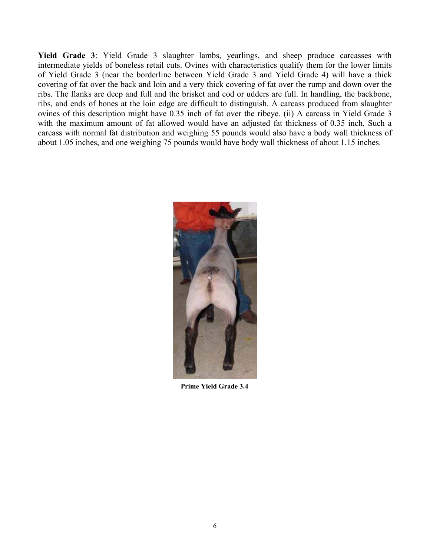**Yield Grade 3**: Yield Grade 3 slaughter lambs, yearlings, and sheep produce carcasses with intermediate yields of boneless retail cuts. Ovines with characteristics qualify them for the lower limits of Yield Grade 3 (near the borderline between Yield Grade 3 and Yield Grade 4) will have a thick covering of fat over the back and loin and a very thick covering of fat over the rump and down over the ribs. The flanks are deep and full and the brisket and cod or udders are full. In handling, the backbone, ribs, and ends of bones at the loin edge are difficult to distinguish. A carcass produced from slaughter ovines of this description might have 0.35 inch of fat over the ribeye. (ii) A carcass in Yield Grade 3 with the maximum amount of fat allowed would have an adjusted fat thickness of 0.35 inch. Such a carcass with normal fat distribution and weighing 55 pounds would also have a body wall thickness of about 1.05 inches, and one weighing 75 pounds would have body wall thickness of about 1.15 inches.



**Prime Yield Grade 3.4**